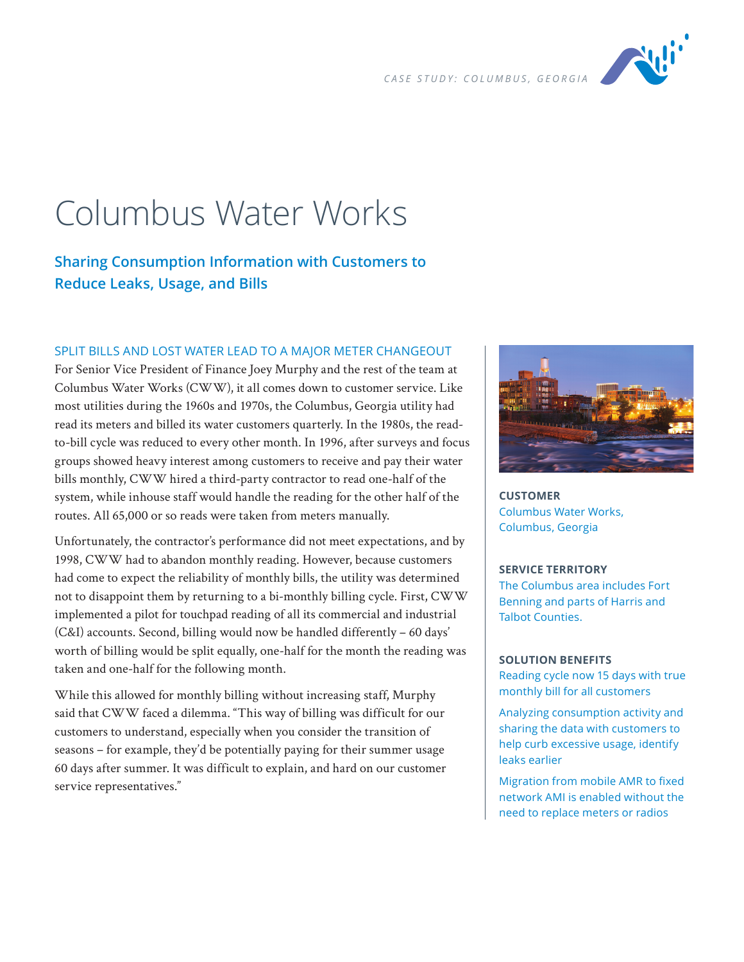

# Columbus Water Works

# **Sharing Consumption Information with Customers to Reduce Leaks, Usage, and Bills**

### SPLIT BILLS AND LOST WATER LEAD TO A MAJOR METER CHANGEOUT

For Senior Vice President of Finance Joey Murphy and the rest of the team at Columbus Water Works (CWW), it all comes down to customer service. Like most utilities during the 1960s and 1970s, the Columbus, Georgia utility had read its meters and billed its water customers quarterly. In the 1980s, the readto-bill cycle was reduced to every other month. In 1996, after surveys and focus groups showed heavy interest among customers to receive and pay their water bills monthly, CWW hired a third-party contractor to read one-half of the system, while inhouse staff would handle the reading for the other half of the routes. All 65,000 or so reads were taken from meters manually.

Unfortunately, the contractor's performance did not meet expectations, and by 1998, CWW had to abandon monthly reading. However, because customers had come to expect the reliability of monthly bills, the utility was determined not to disappoint them by returning to a bi-monthly billing cycle. First, CWW implemented a pilot for touchpad reading of all its commercial and industrial (C&I) accounts. Second, billing would now be handled differently – 60 days' worth of billing would be split equally, one-half for the month the reading was taken and one-half for the following month.

While this allowed for monthly billing without increasing staff, Murphy said that CWW faced a dilemma. "This way of billing was difficult for our customers to understand, especially when you consider the transition of seasons – for example, they'd be potentially paying for their summer usage 60 days after summer. It was difficult to explain, and hard on our customer service representatives."



**CUSTOMER** Columbus Water Works, Columbus, Georgia

#### **SERVICE TERRITORY**

The Columbus area includes Fort Benning and parts of Harris and Talbot Counties.

#### **SOLUTION BENEFITS**

Reading cycle now 15 days with true monthly bill for all customers

Analyzing consumption activity and sharing the data with customers to help curb excessive usage, identify leaks earlier

Migration from mobile AMR to fixed network AMI is enabled without the need to replace meters or radios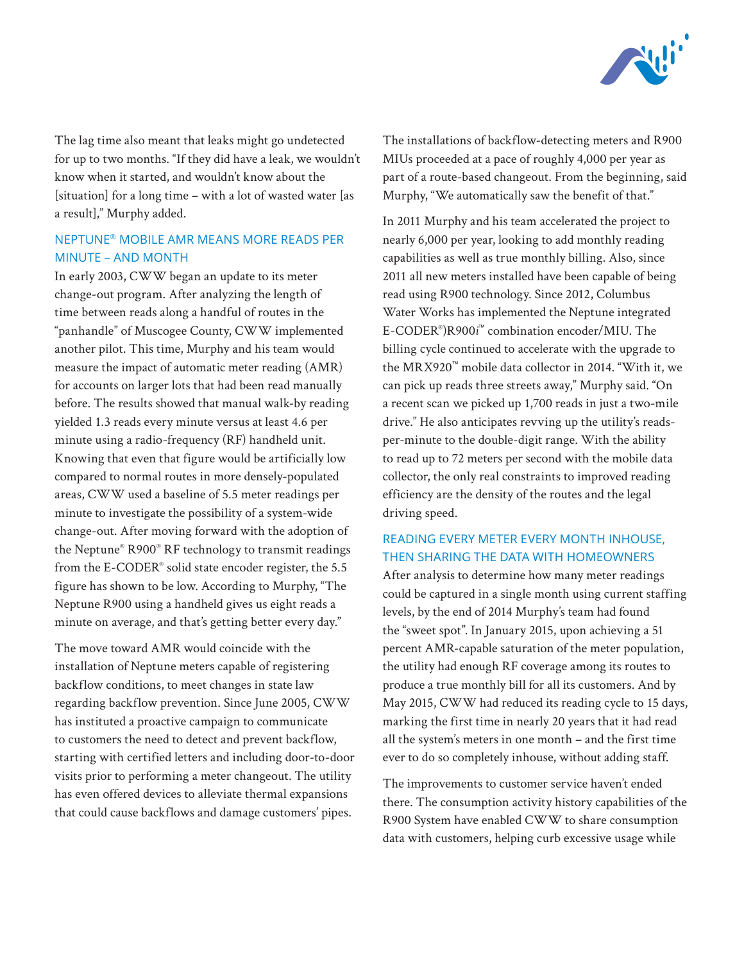

The lag time also meant that leaks might go undetected for up to two months. "If they did have a leak, we wouldn't know when it started, and wouldn't know about the [situation] for a long time – with a lot of wasted water [as a result]," Murphy added.

## NEPTUNE® MOBILE AMR MEANS MORE READS PER MINUTE – AND MONTH

In early 2003, CWW began an update to its meter change-out program. After analyzing the length of time between reads along a handful of routes in the "panhandle" of Muscogee County, CWW implemented another pilot. This time, Murphy and his team would measure the impact of automatic meter reading (AMR) for accounts on larger lots that had been read manually before. The results showed that manual walk-by reading yielded 1.3 reads every minute versus at least 4.6 per minute using a radio-frequency (RF) handheld unit. Knowing that even that figure would be artificially low compared to normal routes in more densely-populated areas, CWW used a baseline of 5.5 meter readings per minute to investigate the possibility of a system-wide change-out. After moving forward with the adoption of the Neptune® R900® RF technology to transmit readings from the E-CODER® solid state encoder register, the 5.5 figure has shown to be low. According to Murphy, "The Neptune R900 using a handheld gives us eight reads a minute on average, and that's getting better every day."

The move toward AMR would coincide with the installation of Neptune meters capable of registering backflow conditions, to meet changes in state law regarding backflow prevention. Since June 2005, CWW has instituted a proactive campaign to communicate to customers the need to detect and prevent backflow, starting with certified letters and including door-to-door visits prior to performing a meter changeout. The utility has even offered devices to alleviate thermal expansions that could cause backflows and damage customers' pipes.

The installations of backflow-detecting meters and R900 MIUs proceeded at a pace of roughly 4,000 per year as part of a route-based changeout. From the beginning, said Murphy, "We automatically saw the benefit of that."

In 2011 Murphy and his team accelerated the project to nearly 6,000 per year, looking to add monthly reading capabilities as well as true monthly billing. Also, since 2011 all new meters installed have been capable of being read using R900 technology. Since 2012, Columbus Water Works has implemented the Neptune integrated E-CODER® )R900*i* ™ combination encoder/MIU. The billing cycle continued to accelerate with the upgrade to the MRX920™ mobile data collector in 2014. "With it, we can pick up reads three streets away," Murphy said. "On a recent scan we picked up 1,700 reads in just a two-mile drive." He also anticipates revving up the utility's readsper-minute to the double-digit range. With the ability to read up to 72 meters per second with the mobile data collector, the only real constraints to improved reading efficiency are the density of the routes and the legal driving speed.

# READING EVERY METER EVERY MONTH INHOUSE, THEN SHARING THE DATA WITH HOMEOWNERS

After analysis to determine how many meter readings could be captured in a single month using current staffing levels, by the end of 2014 Murphy's team had found the "sweet spot". In January 2015, upon achieving a 51 percent AMR-capable saturation of the meter population, the utility had enough RF coverage among its routes to produce a true monthly bill for all its customers. And by May 2015, CWW had reduced its reading cycle to 15 days, marking the first time in nearly 20 years that it had read all the system's meters in one month – and the first time ever to do so completely inhouse, without adding staff.

The improvements to customer service haven't ended there. The consumption activity history capabilities of the R900 System have enabled CWW to share consumption data with customers, helping curb excessive usage while